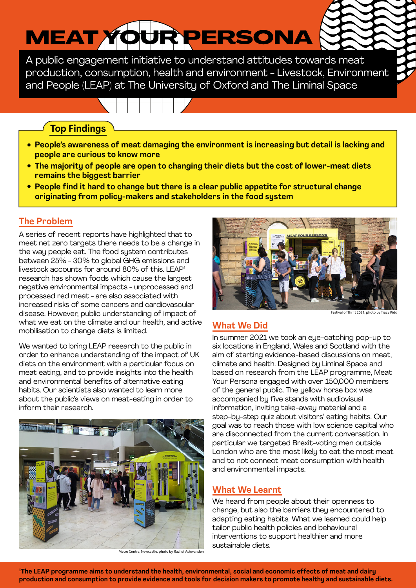# MEAT YOUR PERSONA

A public engagement initiative to understand attitudes towards meat production, consumption, health and environment - Livestock, Environment and People (LEAP) at The University of Oxford and The Liminal Space

#### **Top Findings**

- **People's awareness of meat damaging the environment is increasing but detail is lacking and people are curious to know more**
- **The majority of people are open to changing their diets but the cost of lower-meat diets remains the biggest barrier**
- **People find it hard to change but there is a clear public appetite for structural change originating from policy-makers and stakeholders in the food system**

#### **The Problem**

A series of recent reports have highlighted that to meet net zero targets there needs to be a change in the way people eat. The food system contributes between 25% - 30% to global GHG emissions and livestock accounts for around 80% of this. LEAP1 research has shown foods which cause the largest negative environmental impacts - unprocessed and processed red meat - are also associated with increased risks of some cancers and cardiovascular disease. However, public understanding of impact of what we eat on the climate and our health, and active mobilisation to change diets is limited.

We wanted to bring LEAP research to the public in order to enhance understanding of the impact of UK diets on the environment with a particular focus on meat eating, and to provide insights into the health and environmental benefits of alternative eating habits. Our scientists also wanted to learn more about the public's views on meat-eating in order to inform their research.



Metro Centre, Newcastle, photo by Rachel Ashwande



Festival of Thrift 2021, photo by Trac

#### **What We Did**

In summer 2021 we took an eye-catching pop-up to six locations in England, Wales and Scotland with the aim of starting evidence-based discussions on meat, climate and health. Designed by Liminal Space and based on research from the LEAP programme, Meat Your Persona engaged with over 150,000 members of the general public. The yellow horse box was accompanied by five stands with audiovisual information, inviting take-away material and a step-by-step quiz about visitors' eating habits. Our goal was to reach those with low science capital who are disconnected from the current conversation. In particular we targeted Brexit-voting men outside London who are the most likely to eat the most meat and to not connect meat consumption with health and environmental impacts.

#### **What We Learnt**

We heard from people about their openness to change, but also the barriers they encountered to adapting eating habits. What we learned could help tailor public health policies and behavioural interventions to support healthier and more sustainable diets.

**1 The LEAP programme aims to understand the health, environmental, social and economic effects of meat and dairy production and consumption to provide evidence and tools for decision makers to promote healthy and sustainable diets.**